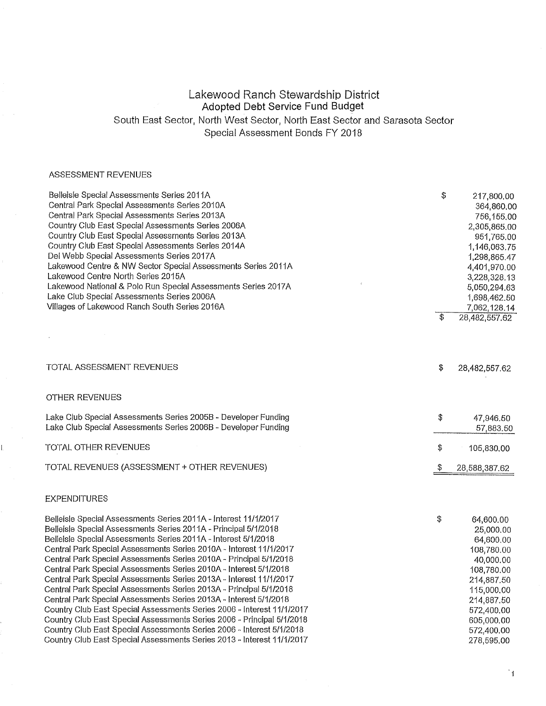## Lakewood Ranch Stewardship District Adopted Debt Service Fund Budget South East Sector, North West Sector, North East Sector and Sarasota Sector Special Assessment Bonds FY 2018

### ASSESSMENT REVENUES

Ī.

| Belleisle Special Assessments Series 2011A<br>Central Park Special Assessments Series 2010A<br>Central Park Special Assessments Series 2013A<br>Country Club East Special Assessments Series 2006A<br>Country Club East Special Assessments Series 2013A<br>Country Club East Special Assessments Series 2014A<br>Del Webb Special Assessments Series 2017A<br>Lakewood Centre & NW Sector Special Assessments Series 2011A<br>Lakewood Centre North Series 2015A<br>Lakewood National & Polo Run Special Assessments Series 2017A<br>Lake Club Special Assessments Series 2006A<br>Villages of Lakewood Ranch South Series 2016A                                                                                                                                                                                                                                                                                                             | \$<br>$\overline{\$}$ | 217,800.00<br>364,860.00<br>756,155,00<br>2,305,865.00<br>951,765.00<br>1,146,063.75<br>1,298,865.47<br>4,401,970.00<br>3,228,328.13<br>5,050,294.63<br>1,698,462.50<br>7,062,128.14<br>28,482,557.62 |
|-----------------------------------------------------------------------------------------------------------------------------------------------------------------------------------------------------------------------------------------------------------------------------------------------------------------------------------------------------------------------------------------------------------------------------------------------------------------------------------------------------------------------------------------------------------------------------------------------------------------------------------------------------------------------------------------------------------------------------------------------------------------------------------------------------------------------------------------------------------------------------------------------------------------------------------------------|-----------------------|-------------------------------------------------------------------------------------------------------------------------------------------------------------------------------------------------------|
|                                                                                                                                                                                                                                                                                                                                                                                                                                                                                                                                                                                                                                                                                                                                                                                                                                                                                                                                               |                       |                                                                                                                                                                                                       |
| TOTAL ASSESSMENT REVENUES                                                                                                                                                                                                                                                                                                                                                                                                                                                                                                                                                                                                                                                                                                                                                                                                                                                                                                                     | \$                    | 28,482,557.62                                                                                                                                                                                         |
| OTHER REVENUES                                                                                                                                                                                                                                                                                                                                                                                                                                                                                                                                                                                                                                                                                                                                                                                                                                                                                                                                |                       |                                                                                                                                                                                                       |
| Lake Club Special Assessments Series 2005B - Developer Funding<br>Lake Club Special Assessments Series 2006B - Developer Funding                                                                                                                                                                                                                                                                                                                                                                                                                                                                                                                                                                                                                                                                                                                                                                                                              | \$                    | 47,946.50<br>57,883.50                                                                                                                                                                                |
| TOTAL OTHER REVENUES                                                                                                                                                                                                                                                                                                                                                                                                                                                                                                                                                                                                                                                                                                                                                                                                                                                                                                                          | \$                    | 105,830.00                                                                                                                                                                                            |
| TOTAL REVENUES (ASSESSMENT + OTHER REVENUES)                                                                                                                                                                                                                                                                                                                                                                                                                                                                                                                                                                                                                                                                                                                                                                                                                                                                                                  | -\$                   | 28,588,387.62                                                                                                                                                                                         |
| <b>EXPENDITURES</b>                                                                                                                                                                                                                                                                                                                                                                                                                                                                                                                                                                                                                                                                                                                                                                                                                                                                                                                           |                       |                                                                                                                                                                                                       |
| Belleisle Special Assessments Series 2011A - Interest 11/1/2017<br>Belleisle Special Assessments Series 2011A - Principal 5/1/2018<br>Belleisle Special Assessments Series 2011A - Interest 5/1/2018<br>Central Park Special Assessments Series 2010A - Interest 11/1/2017<br>Central Park Special Assessments Series 2010A - Principal 5/1/2018<br>Central Park Special Assessments Series 2010A - Interest 5/1/2018<br>Central Park Special Assessments Series 2013A - Interest 11/1/2017<br>Central Park Special Assessments Series 2013A - Principal 5/1/2018<br>Central Park Special Assessments Series 2013A - Interest 5/1/2018<br>Country Club East Special Assessments Series 2006 - Interest 11/1/2017<br>Country Club East Special Assessments Series 2006 - Principal 5/1/2018<br>Country Club East Special Assessments Series 2006 - Interest 5/1/2018<br>Country Club East Special Assessments Series 2013 - Interest 11/1/2017 | \$                    | 64,600.00<br>25,000.00<br>64,600.00<br>108,780.00<br>40,000.00<br>108,780.00<br>214,887.50<br>115,000.00<br>214,887.50<br>572,400.00<br>605,000.00<br>572,400.00<br>278,595.00                        |